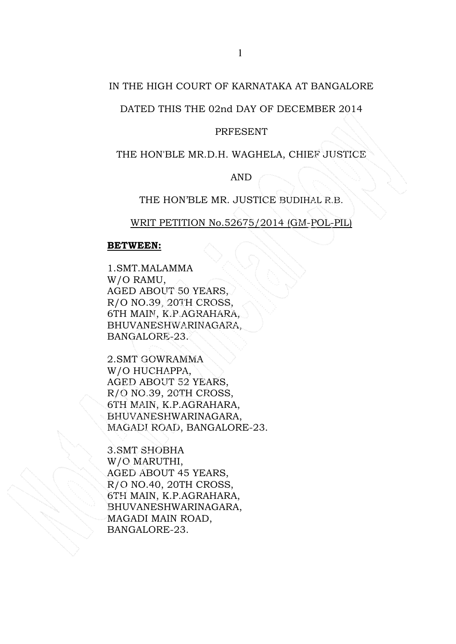# IN THE HIGH COURT OF KARNATAKA AT BANGALORE

# DATED THIS THE 02nd DAY OF DECEMBER 2014

#### PRFESENT

### THE HON'BLE MR.D.H. WAGHELA, CHIEF JUSTICE

AND

# THE HON'BLE MR. JUSTICE BUDIHAL R.B.

# WRIT PETITION No.52675/2014 (GM-POL-PIL)

### BETWEEN:

1.SMT.MALAMMA W/O RAMU, AGED ABOUT 50 YEARS, R/O NO.39, 20TH CROSS, 6TH MAIN, K.P.AGRAHARA, BHUVANESHWARINAGARA, BANGALORE-23.

2.SMT GOWRAMMA W/O HUCHAPPA, AGED ABOUT 52 YEARS, R/O NO.39, 20TH CROSS, 6TH MAIN, K.P.AGRAHARA, BHUVANESHWARINAGARA, MAGADI ROAD, BANGALORE-23.

3.SMT SHOBHA W/O MARUTHI, AGED ABOUT 45 YEARS, R/O NO.40, 20TH CROSS, 6TH MAIN, K.P.AGRAHARA, BHUVANESHWARINAGARA, MAGADI MAIN ROAD, BANGALORE-23.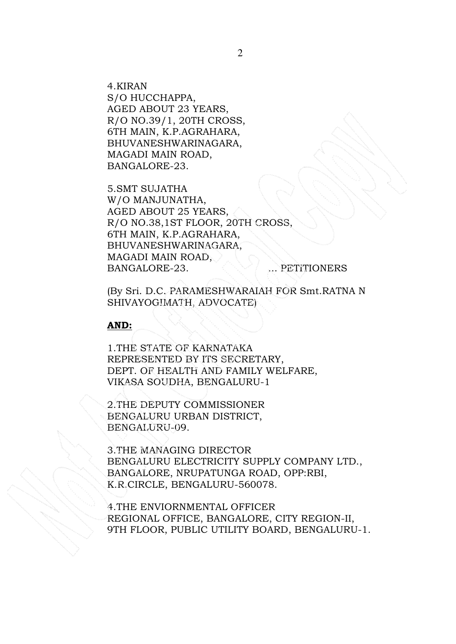4.KIRAN S/O HUCCHAPPA, AGED ABOUT 23 YEARS, R/O NO.39/1, 20TH CROSS, 6TH MAIN, K.P.AGRAHARA, BHUVANESHWARINAGARA, MAGADI MAIN ROAD, BANGALORE-23.

5.SMT SUJATHA W/O MANJUNATHA, AGED ABOUT 25 YEARS, R/O NO.38,1ST FLOOR, 20TH CROSS, 6TH MAIN, K.P.AGRAHARA, BHUVANESHWARINAGARA, MAGADI MAIN ROAD, BANGALORE-23. ... PETITIONERS

(By Sri. D.C. PARAMESHWARAIAH FOR Smt.RATNA N SHIVAYOGIMATH, ADVOCATE)

#### AND:

1.THE STATE OF KARNATAKA REPRESENTED BY ITS SECRETARY, DEPT. OF HEALTH AND FAMILY WELFARE, VIKASA SOUDHA, BENGALURU-1

2.THE DEPUTY COMMISSIONER BENGALURU URBAN DISTRICT, BENGALURU-09.

3.THE MANAGING DIRECTOR BENGALURU ELECTRICITY SUPPLY COMPANY LTD., BANGALORE, NRUPATUNGA ROAD, OPP:RBI, K.R.CIRCLE, BENGALURU-560078.

4.THE ENVIORNMENTAL OFFICER REGIONAL OFFICE, BANGALORE, CITY REGION-II, 9TH FLOOR, PUBLIC UTILITY BOARD, BENGALURU-1.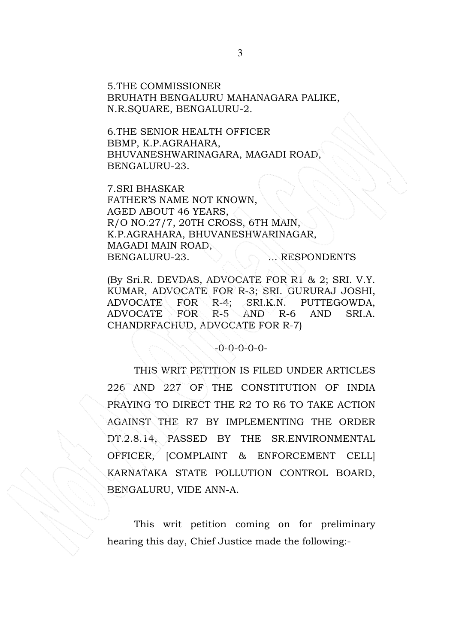5.THE COMMISSIONER BRUHATH BENGALURU MAHANAGARA PALIKE, N.R.SQUARE, BENGALURU-2.

6.THE SENIOR HEALTH OFFICER BBMP, K.P.AGRAHARA, BHUVANESHWARINAGARA, MAGADI ROAD, BENGALURU-23.

7.SRI BHASKAR FATHER'S NAME NOT KNOWN, AGED ABOUT 46 YEARS, R/O NO.27/7, 20TH CROSS, 6TH MAIN, K.P.AGRAHARA, BHUVANESHWARINAGAR, MAGADI MAIN ROAD, BENGALURU-23. . RESPONDENTS

(By Sri.R. DEVDAS, ADVOCATE FOR R1 & 2; SRI. V.Y. KUMAR, ADVOCATE FOR R-3; SRI. GURURAJ JOSHI, ADVOCATE FOR R-4; SRI.K.N. PUTTEGOWDA, ADVOCATE FOR R-5 AND R-6 AND SRI.A. CHANDRFACHUD, ADVOCATE FOR R-7)

-0-0-0-0-0-

 THIS WRIT PETITION IS FILED UNDER ARTICLES 226 AND 227 OF THE CONSTITUTION OF INDIA PRAYING TO DIRECT THE R2 TO R6 TO TAKE ACTION AGAINST THE R7 BY IMPLEMENTING THE ORDER DT.2.8.14, PASSED BY THE SR.ENVIRONMENTAL OFFICER, [COMPLAINT & ENFORCEMENT CELL] KARNATAKA STATE POLLUTION CONTROL BOARD, BENGALURU, VIDE ANN-A.

This writ petition coming on for preliminary hearing this day, Chief Justice made the following:-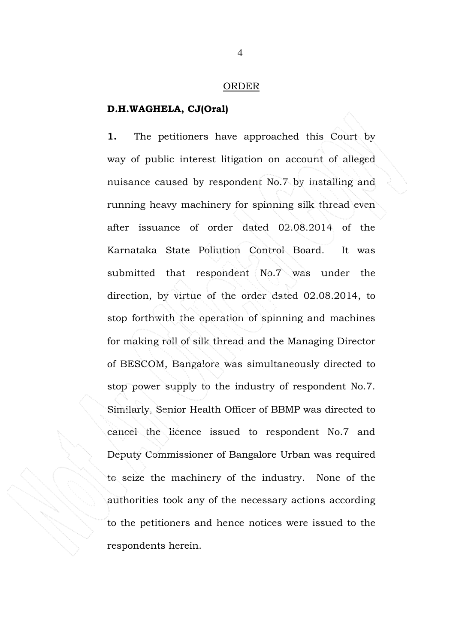#### ORDER

### D.H.WAGHELA, CJ(Oral)

1. The petitioners have approached this Court by way of public interest litigation on account of alleged nuisance caused by respondent No.7 by installing and running heavy machinery for spinning silk thread even after issuance of order dated 02.08.2014 of the Karnataka State Pollution Control Board. It was submitted that respondent No.7 was under the direction, by virtue of the order dated 02.08.2014, to stop forthwith the operation of spinning and machines for making roll of silk thread and the Managing Director of BESCOM, Bangalore was simultaneously directed to stop power supply to the industry of respondent No.7. Similarly, Senior Health Officer of BBMP was directed to cancel the licence issued to respondent No.7 and Deputy Commissioner of Bangalore Urban was required to seize the machinery of the industry. None of the authorities took any of the necessary actions according to the petitioners and hence notices were issued to the respondents herein.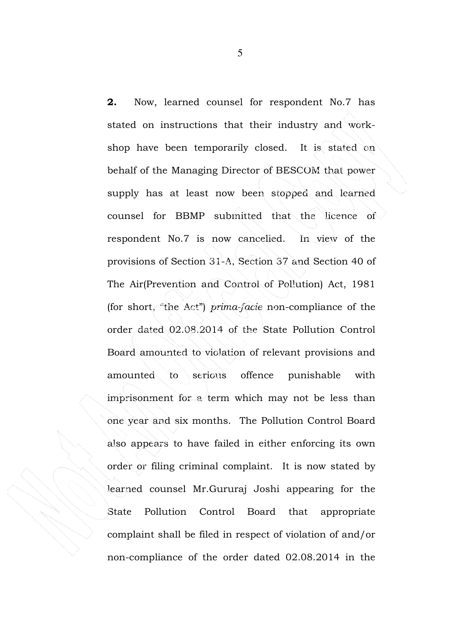2. Now, learned counsel for respondent No.7 has stated on instructions that their industry and workshop have been temporarily closed. It is stated on behalf of the Managing Director of BESCOM that power supply has at least now been stopped and learned counsel for BBMP submitted that the licence of respondent No.7 is now cancelled. In view of the provisions of Section 31-A, Section 37 and Section 40 of The Air(Prevention and Control of Pollution) Act, 1981 (for short, "the Act") prima-facie non-compliance of the order dated 02.08.2014 of the State Pollution Control Board amounted to violation of relevant provisions and amounted to serious offence punishable with imprisonment for a term which may not be less than one year and six months. The Pollution Control Board also appears to have failed in either enforcing its own order or filing criminal complaint. It is now stated by learned counsel Mr.Gururaj Joshi appearing for the State Pollution Control Board that appropriate complaint shall be filed in respect of violation of and/or non-compliance of the order dated 02.08.2014 in the